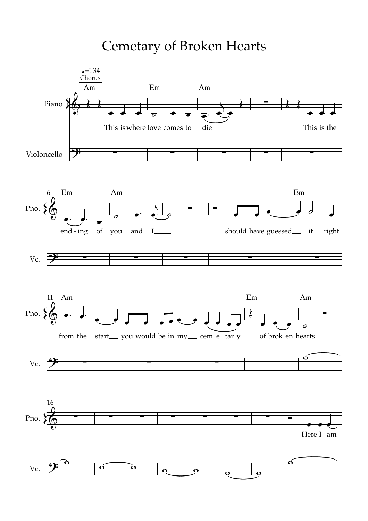**Cemetary of Broken Hearts** 







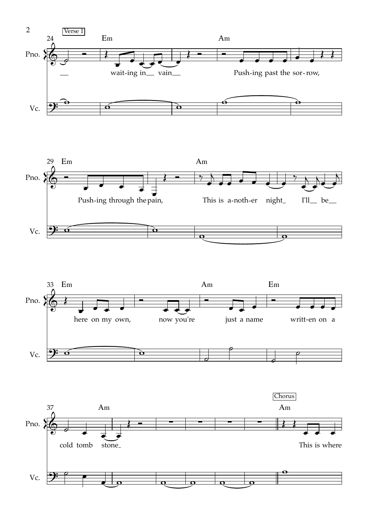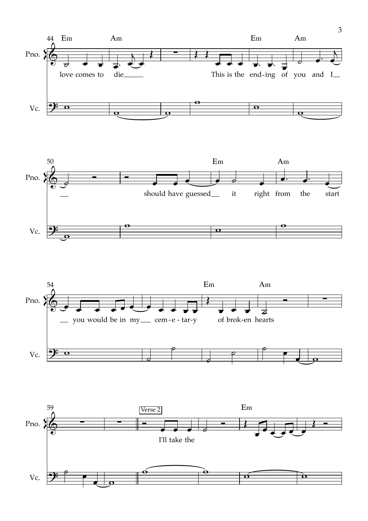





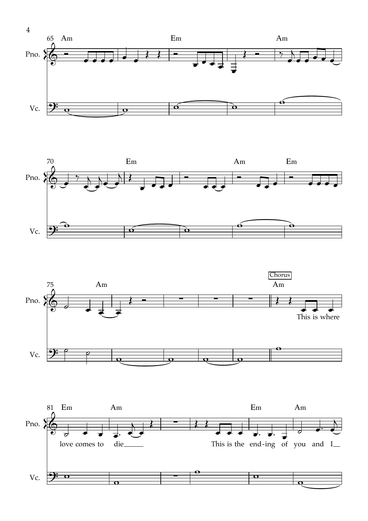





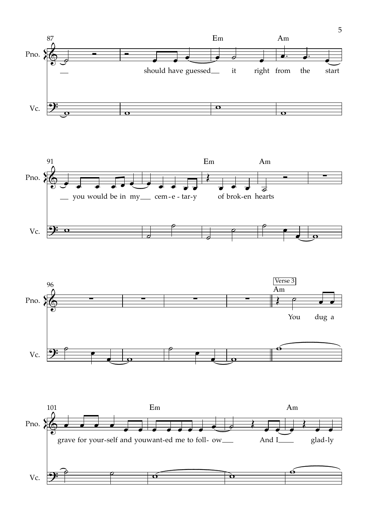





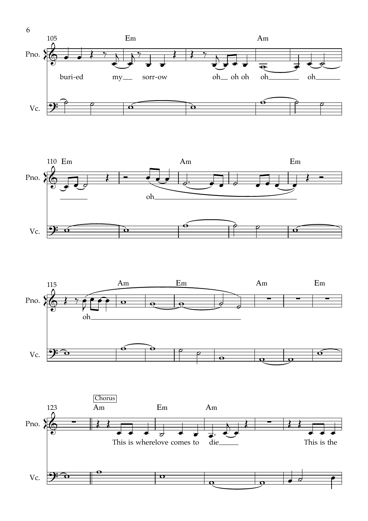